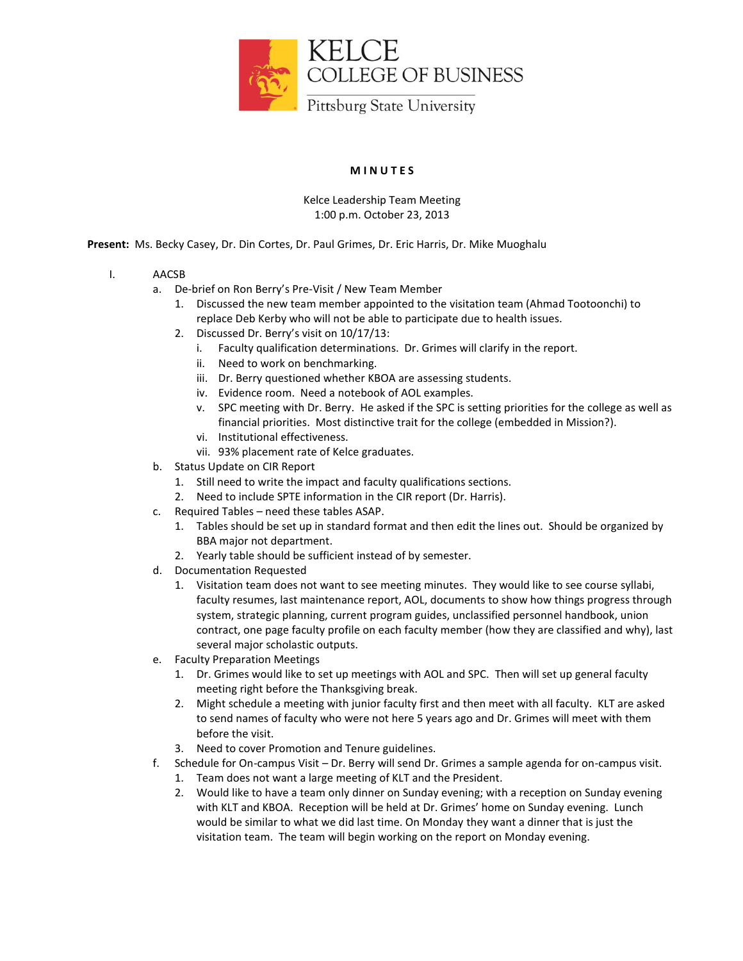

## **M I N U T E S**

## Kelce Leadership Team Meeting 1:00 p.m. October 23, 2013

**Present:** Ms. Becky Casey, Dr. Din Cortes, Dr. Paul Grimes, Dr. Eric Harris, Dr. Mike Muoghalu

- I. AACSB
	- a. De-brief on Ron Berry's Pre-Visit / New Team Member
		- 1. Discussed the new team member appointed to the visitation team (Ahmad Tootoonchi) to replace Deb Kerby who will not be able to participate due to health issues.
		- 2. Discussed Dr. Berry's visit on 10/17/13:
			- i. Faculty qualification determinations. Dr. Grimes will clarify in the report.
			- ii. Need to work on benchmarking.
			- iii. Dr. Berry questioned whether KBOA are assessing students.
			- iv. Evidence room. Need a notebook of AOL examples.
			- v. SPC meeting with Dr. Berry. He asked if the SPC is setting priorities for the college as well as financial priorities. Most distinctive trait for the college (embedded in Mission?).
			- vi. Institutional effectiveness.
			- vii. 93% placement rate of Kelce graduates.
	- b. Status Update on CIR Report
		- 1. Still need to write the impact and faculty qualifications sections.
		- 2. Need to include SPTE information in the CIR report (Dr. Harris).
	- c. Required Tables need these tables ASAP.
		- 1. Tables should be set up in standard format and then edit the lines out. Should be organized by BBA major not department.
		- 2. Yearly table should be sufficient instead of by semester.
	- d. Documentation Requested
		- 1. Visitation team does not want to see meeting minutes. They would like to see course syllabi, faculty resumes, last maintenance report, AOL, documents to show how things progress through system, strategic planning, current program guides, unclassified personnel handbook, union contract, one page faculty profile on each faculty member (how they are classified and why), last several major scholastic outputs.
	- e. Faculty Preparation Meetings
		- 1. Dr. Grimes would like to set up meetings with AOL and SPC. Then will set up general faculty meeting right before the Thanksgiving break.
		- 2. Might schedule a meeting with junior faculty first and then meet with all faculty. KLT are asked to send names of faculty who were not here 5 years ago and Dr. Grimes will meet with them before the visit.
		- 3. Need to cover Promotion and Tenure guidelines.
	- f. Schedule for On-campus Visit Dr. Berry will send Dr. Grimes a sample agenda for on-campus visit.
		- 1. Team does not want a large meeting of KLT and the President.
		- 2. Would like to have a team only dinner on Sunday evening; with a reception on Sunday evening with KLT and KBOA. Reception will be held at Dr. Grimes' home on Sunday evening. Lunch would be similar to what we did last time. On Monday they want a dinner that is just the visitation team. The team will begin working on the report on Monday evening.